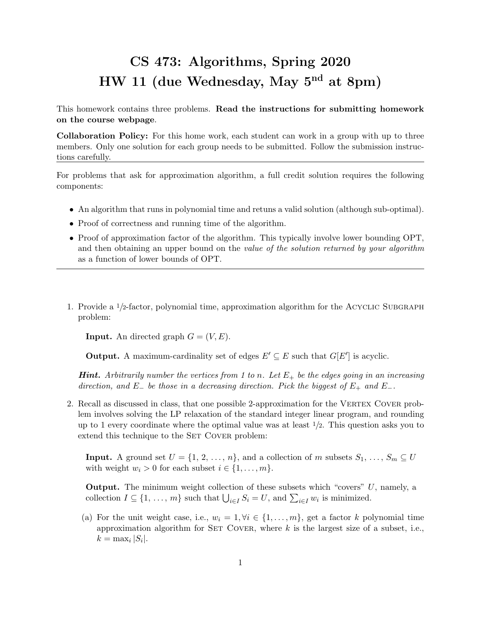## CS 473: Algorithms, Spring 2020 HW 11 (due Wednesday, May 5nd at 8pm)

This homework contains three problems. Read the instructions for submitting homework on the course webpage.

Collaboration Policy: For this home work, each student can work in a group with up to three members. Only one solution for each group needs to be submitted. Follow the submission instructions carefully.

For problems that ask for approximation algorithm, a full credit solution requires the following components:

- An algorithm that runs in polynomial time and retuns a valid solution (although sub-optimal).
- Proof of correctness and running time of the algorithm.
- Proof of approximation factor of the algorithm. This typically involve lower bounding OPT, and then obtaining an upper bound on the value of the solution returned by your algorithm as a function of lower bounds of OPT.
- 1. Provide a  $\frac{1}{2}$ -factor, polynomial time, approximation algorithm for the ACYCLIC SUBGRAPH problem:

**Input.** An directed graph  $G = (V, E)$ .

**Output.** A maximum-cardinality set of edges  $E' \subseteq E$  such that  $G[E']$  is acyclic.

**Hint.** Arbitrarily number the vertices from 1 to n. Let  $E_+$  be the edges going in an increasing direction, and E<sub>−</sub> be those in a decreasing direction. Pick the biggest of  $E_+$  and  $E_-$ .

2. Recall as discussed in class, that one possible 2-approximation for the VERTEX COVER problem involves solving the LP relaxation of the standard integer linear program, and rounding up to 1 every coordinate where the optimal value was at least  $1/2$ . This question asks you to extend this technique to the SET COVER problem:

**Input.** A ground set  $U = \{1, 2, ..., n\}$ , and a collection of m subsets  $S_1, ..., S_m \subseteq U$ with weight  $w_i > 0$  for each subset  $i \in \{1, \ldots, m\}$ .

**Output.** The minimum weight collection of these subsets which "covers"  $U$ , namely, a collection  $I \subseteq \{1, ..., m\}$  such that  $\bigcup_{i \in I} S_i = U$ , and  $\sum_{i \in I} w_i$  is minimized.

(a) For the unit weight case, i.e.,  $w_i = 1, \forall i \in \{1, ..., m\}$ , get a factor k polynomial time approximation algorithm for SET COVER, where  $k$  is the largest size of a subset, i.e.,  $k = \max_i |S_i|.$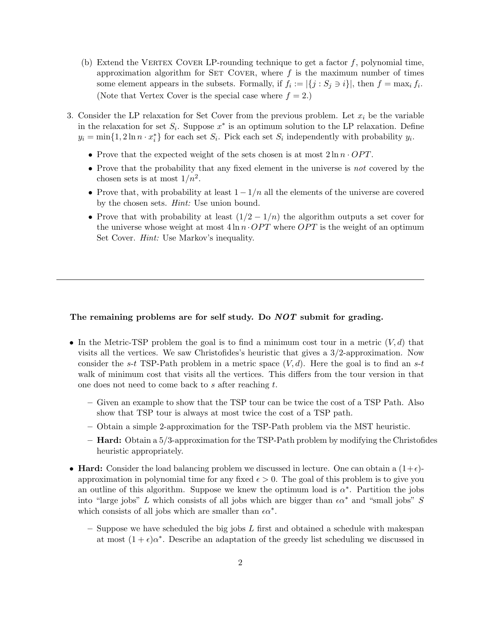- (b) Extend the VERTEX COVER LP-rounding technique to get a factor  $f$ , polynomial time, approximation algorithm for SET COVER, where  $f$  is the maximum number of times some element appears in the subsets. Formally, if  $f_i := |\{j : S_j \ni i\}|$ , then  $f = \max_i f_i$ . (Note that Vertex Cover is the special case where  $f = 2$ .)
- 3. Consider the LP relaxation for Set Cover from the previous problem. Let  $x_i$  be the variable in the relaxation for set  $S_i$ . Suppose  $x^*$  is an optimum solution to the LP relaxation. Define  $y_i = \min\{1, 2\ln n \cdot x_i^*\}$  for each set  $S_i$ . Pick each set  $S_i$  independently with probability  $y_i$ .
	- Prove that the expected weight of the sets chosen is at most  $2 \ln n \cdot OPT$ .
	- Prove that the probability that any fixed element in the universe is not covered by the chosen sets is at most  $1/n^2$ .
	- Prove that, with probability at least  $1 1/n$  all the elements of the universe are covered by the chosen sets. Hint: Use union bound.
	- Prove that with probability at least  $(1/2 1/n)$  the algorithm outputs a set cover for the universe whose weight at most  $4 \ln n \cdot OPT$  where OPT is the weight of an optimum Set Cover. *Hint*: Use Markov's inequality.

## The remaining problems are for self study. Do *NOT* submit for grading.

- In the Metric-TSP problem the goal is to find a minimum cost tour in a metric  $(V, d)$  that visits all the vertices. We saw Christofides's heuristic that gives a 3/2-approximation. Now consider the s-t TSP-Path problem in a metric space  $(V, d)$ . Here the goal is to find an s-t walk of minimum cost that visits all the vertices. This differs from the tour version in that one does not need to come back to s after reaching t.
	- Given an example to show that the TSP tour can be twice the cost of a TSP Path. Also show that TSP tour is always at most twice the cost of a TSP path.
	- Obtain a simple 2-approximation for the TSP-Path problem via the MST heuristic.
	- Hard: Obtain a 5/3-approximation for the TSP-Path problem by modifying the Christofides heuristic appropriately.
- Hard: Consider the load balancing problem we discussed in lecture. One can obtain a  $(1+\epsilon)$ approximation in polynomial time for any fixed  $\epsilon > 0$ . The goal of this problem is to give you an outline of this algorithm. Suppose we knew the optimum load is  $\alpha^*$ . Partition the jobs into "large jobs" L which consists of all jobs which are bigger than  $\epsilon \alpha^*$  and "small jobs" S which consists of all jobs which are smaller than  $\epsilon \alpha^*$ .
	- Suppose we have scheduled the big jobs  $L$  first and obtained a schedule with makespan at most  $(1 + \epsilon)\alpha^*$ . Describe an adaptation of the greedy list scheduling we discussed in